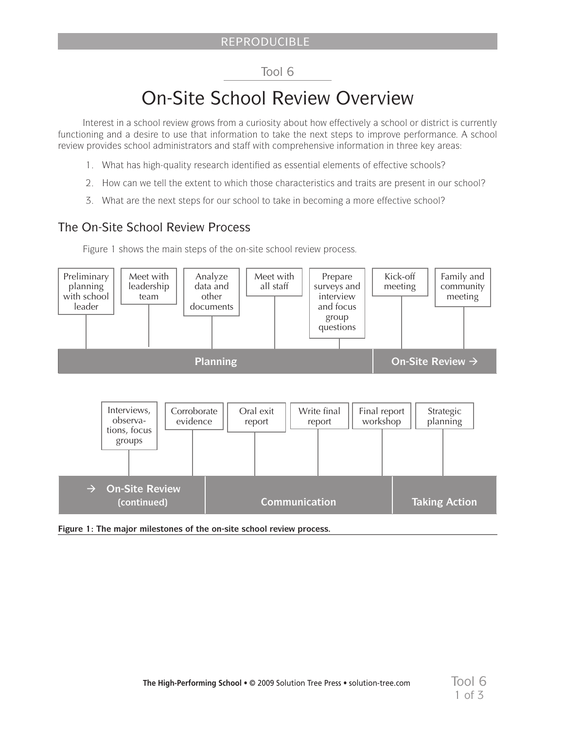# Tool 6

# On-Site School Review Overview

Interest in a school review grows from a curiosity about how effectively a school or district is currently functioning and a desire to use that information to take the next steps to improve performance. A school review provides school administrators and staff with comprehensive information in three key areas:

- 1. What has high-quality research identified as essential elements of effective schools?
- 2. How can we tell the extent to which those characteristics and traits are present in our school?
- 3. What are the next steps for our school to take in becoming a more effective school?

# The On-Site School Review Process

Figure 1 shows the main steps of the on-site school review process.



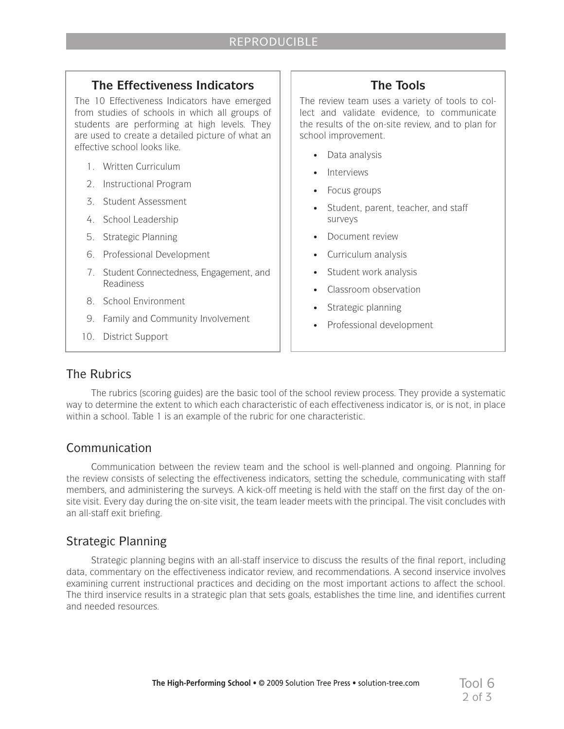#### **The Effectiveness Indicators**

The 10 Effectiveness Indicators have emerged from studies of schools in which all groups of students are performing at high levels. They are used to create a detailed picture of what an effective school looks like.

- 1. Written Curriculum
- 2. Instructional Program
- 3. Student Assessment
- 4. School Leadership
- 5. Strategic Planning
- 6. Professional Development
- 7. Student Connectedness, Engagement, and Readiness
- 8. School Environment
- 9. Family and Community Involvement
- 10. District Support

# **The Tools**

The review team uses a variety of tools to collect and validate evidence, to communicate the results of the on-site review, and to plan for school improvement.

- Data analysis
- Interviews
- Focus groups
- Student, parent, teacher, and staff surveys
- Document review
- Curriculum analysis
- Student work analysis
- Classroom observation
- • Strategic planning
- Professional development

### The Rubrics

The rubrics (scoring guides) are the basic tool of the school review process. They provide a systematic way to determine the extent to which each characteristic of each effectiveness indicator is, or is not, in place within a school. Table 1 is an example of the rubric for one characteristic.

#### Communication

Communication between the review team and the school is well-planned and ongoing. Planning for the review consists of selecting the effectiveness indicators, setting the schedule, communicating with staff members, and administering the surveys. A kick-off meeting is held with the staff on the first day of the onsite visit. Every day during the on-site visit, the team leader meets with the principal. The visit concludes with an all-staff exit briefing.

### Strategic Planning

Strategic planning begins with an all-staff inservice to discuss the results of the final report, including data, commentary on the effectiveness indicator review, and recommendations. A second inservice involves examining current instructional practices and deciding on the most important actions to affect the school. The third inservice results in a strategic plan that sets goals, establishes the time line, and identifies current and needed resources.